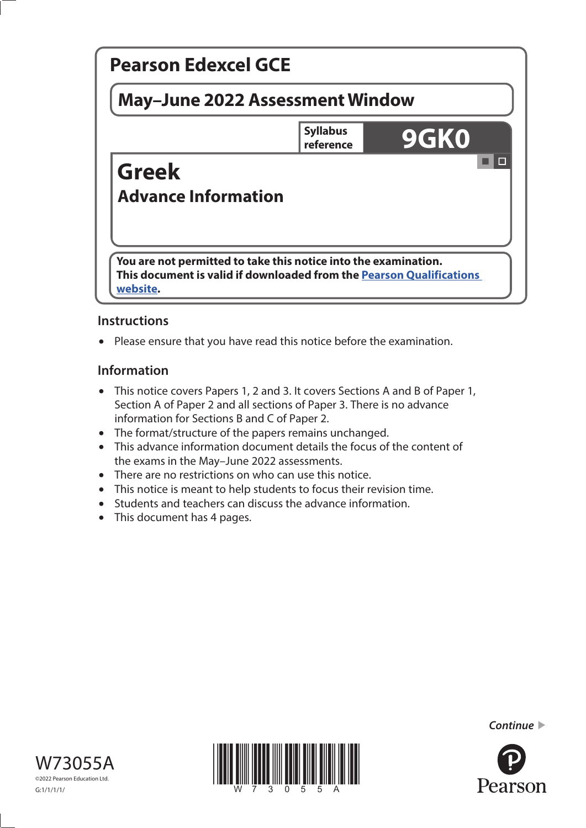

# **Instructions**

• Please ensure that you have read this notice before the examination.

# **Information**

- This notice covers Papers 1, 2 and 3. It covers Sections A and B of Paper 1, Section A of Paper 2 and all sections of Paper 3. There is no advance information for Sections B and C of Paper 2.
- The format/structure of the papers remains unchanged.
- This advance information document details the focus of the content of the exams in the May–June 2022 assessments.
- There are no restrictions on who can use this notice.
- This notice is meant to help students to focus their revision time.
- Students and teachers can discuss the advance information.
- This document has 4 pages.





*Continue* 

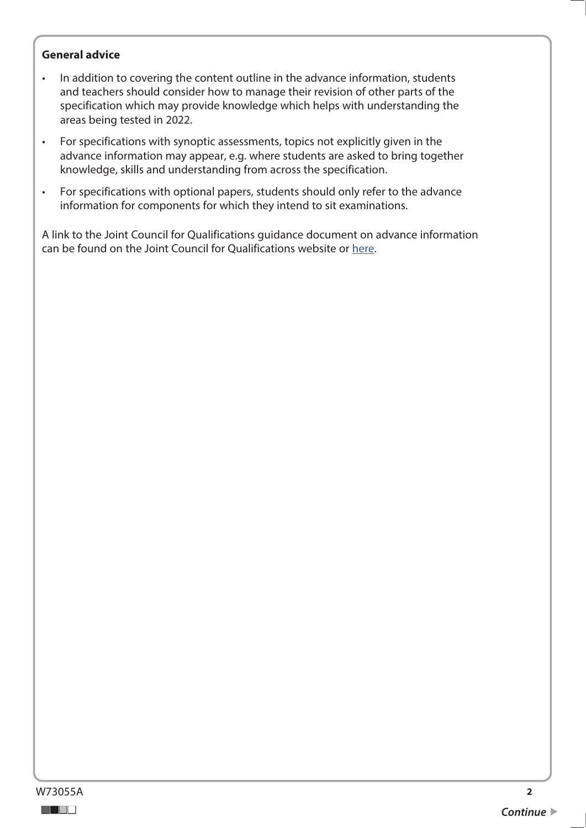### **General advice**

- In addition to covering the content outline in the advance information, students and teachers should consider how to manage their revision of other parts of the specification which may provide knowledge which helps with understanding the areas being tested in 2022.
- For specifications with synoptic assessments, topics not explicitly given in the advance information may appear, e.g. where students are asked to bring together knowledge, skills and understanding from across the specification.
- For specifications with optional papers, students should only refer to the advance information for components for which they intend to sit examinations.

A link to the Joint Council for Qualifications guidance document on advance information can be found on the Joint Council for Qualifications website or [here](https://www.jcq.org.uk/wp-content/uploads/2021/10/Advance-Information-for-General-Qualifications-2021-22.pdf).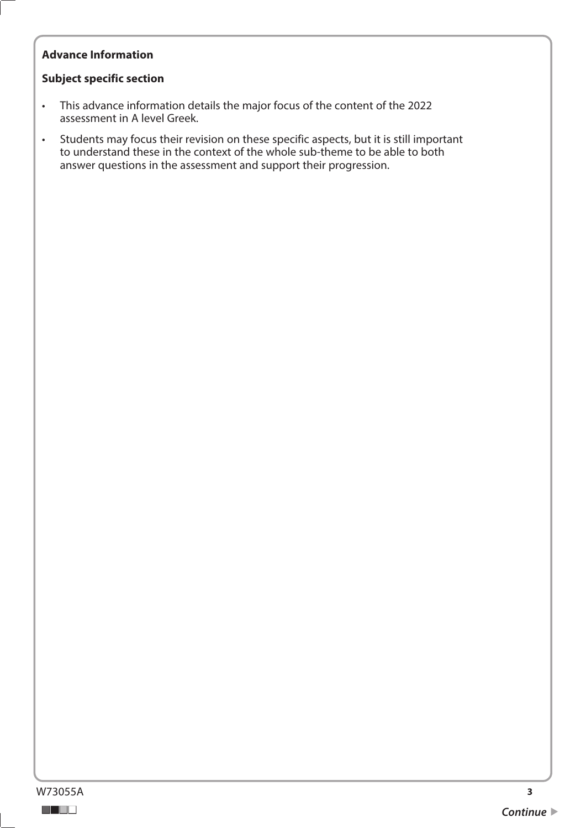# **Advance Information**

## **Subject specific section**

- This advance information details the major focus of the content of the 2022 assessment in A level Greek.
- Students may focus their revision on these specific aspects, but it is still important to understand these in the context of the whole sub-theme to be able to both answer questions in the assessment and support their progression.